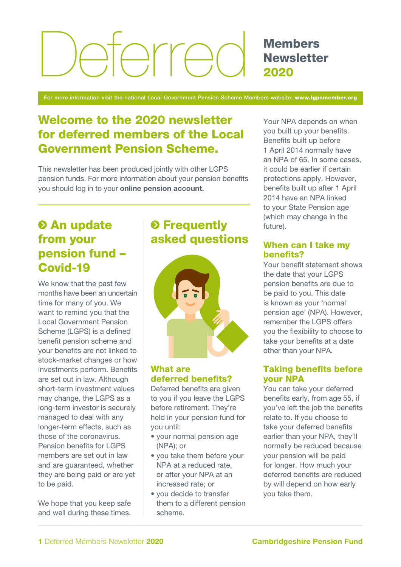# Deferred

**Members Newsletter** 2020

For more information visit the national Local Government Pension Scheme Members website: www.lgpsmember.org

## Welcome to the 2020 newsletter for deferred members of the Local Government Pension Scheme.

This newsletter has been produced jointly with other LGPS pension funds. For more information about your pension benefits you should log in to your [online pension account.](https://lgssmember.pensiondetails.co.uk/home/login/index2.html)

## **O** An update from your pension fund – Covid-19

We know that the past few months have been an uncertain time for many of you. We want to remind you that the Local Government Pension Scheme (LGPS) is a defined benefit pension scheme and your benefits are not linked to stock-market changes or how investments perform. Benefits are set out in law. Although short-term investment values may change, the LGPS as a long-term investor is securely managed to deal with any longer-term effects, such as those of the coronavirus. Pension benefits for LGPS members are set out in law and are guaranteed, whether they are being paid or are yet to be paid.

We hope that you keep safe and well during these times.

## **♦ Frequently** asked questions



### What are deferred benefits?

Deferred benefits are given to you if you leave the LGPS before retirement. They're held in your pension fund for you until:

- your normal pension age (NPA); or
- you take them before your NPA at a reduced rate, or after your NPA at an increased rate; or
- you decide to transfer them to a different pension scheme.

Your NPA depends on when you built up your benefits. Benefits built up before 1 April 2014 normally have an NPA of 65. In some cases, it could be earlier if certain protections apply. However, benefits built up after 1 April 2014 have an NPA linked to your State Pension age (which may change in the future).

#### When can I take my benefits?

Your benefit statement shows the date that your LGPS pension benefits are due to be paid to you. This date is known as your 'normal pension age' (NPA). However, remember the LGPS offers you the flexibility to choose to take your benefits at a date other than your NPA.

#### Taking benefits before your NPA

You can take your deferred benefits early, from age 55, if you've left the job the benefits relate to. If you choose to take your deferred benefits earlier than your NPA, they'll normally be reduced because your pension will be paid for longer. How much your deferred benefits are reduced by will depend on how early you take them.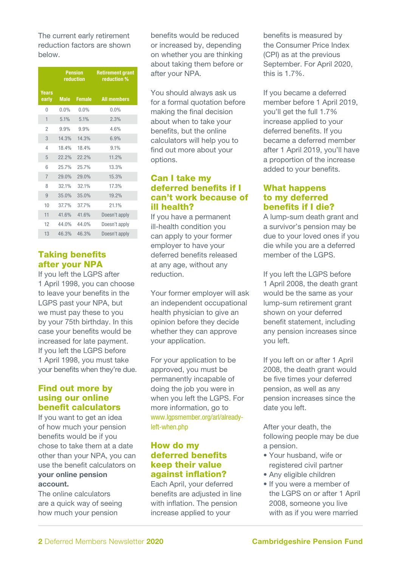The current early retirement reduction factors are shown below.

|                | <b>Pension</b><br>reduction |               | <b>Retirement grant</b><br>reduction % |
|----------------|-----------------------------|---------------|----------------------------------------|
| Years<br>early | <b>Male</b>                 | <b>Female</b> | <b>All members</b>                     |
| 0              | $0.0\%$                     | 0.0%          | 0.0%                                   |
| $\mathbf{1}$   | 5.1%                        | 5.1%          | 2.3%                                   |
| $\overline{2}$ | 9.9%                        | 9.9%          | 4.6%                                   |
| 3              | 14.3%                       | 14.3%         | 6.9%                                   |
| 4              | 18.4%                       | 18.4%         | 9.1%                                   |
| 5              | 22.2%                       | 22.2%         | 11.2%                                  |
| 6              | 25.7%                       | 25.7%         | 13.3%                                  |
| $\overline{7}$ | 29.0%                       | 29.0%         | 15.3%                                  |
| 8              | 32.1%                       | 32.1%         | 17.3%                                  |
| 9              | 35.0%                       | 35.0%         | 19.2%                                  |
| 10             | 37.7%                       | 37.7%         | 21.1%                                  |
| 11             | 41.6%                       | 41.6%         | Doesn't apply                          |
| 12             | 44.0%                       | 44.0%         | Doesn't apply                          |
| 13             | 46.3%                       | 46.3%         | Doesn't apply                          |

#### Taking benefits after your NPA

If you left the LGPS after 1 April 1998, you can choose to leave your benefits in the LGPS past your NPA, but we must pay these to you by your 75th birthday. In this case your benefits would be increased for late payment. If you left the LGPS before 1 April 1998, you must take your benefits when they're due.

#### Find out more by using our online benefit calculators

If you want to get an idea of how much your pension benefits would be if you chose to take them at a date other than your NPA, you can use the benefit calculators on [your online pension](https://lgssmember.pensiondetails.co.uk/home/login/index2.html)  [account.](https://lgssmember.pensiondetails.co.uk/home/login/index2.html)

The online calculators are a quick way of seeing how much your pension

benefits would be reduced or increased by, depending on whether you are thinking about taking them before or after your NPA.

You should always ask us for a formal quotation before making the final decision about when to take your benefits, but the online calculators will help you to find out more about your options.

#### Can I take my deferred benefits if I can't work because of ill health?

If you have a permanent ill-health condition you can apply to your former employer to have your deferred benefits released at any age, without any reduction.

Your former employer will ask an independent occupational health physician to give an opinion before they decide whether they can approve your application.

For your application to be approved, you must be permanently incapable of doing the job you were in when you left the LGPS. For more information, go to www.lgpsmember.org/arl/alreadyleft-when.php

#### How do my deferred benefits keep their value against inflation?

Each April, your deferred benefits are adjusted in line with inflation. The pension increase applied to your

benefits is measured by the Consumer Price Index (CPI) as at the previous September. For April 2020, this is 1.7%.

If you became a deferred member before 1 April 2019, you'll get the full 1.7% increase applied to your deferred benefits. If you became a deferred member after 1 April 2019, you'll have a proportion of the increase added to your benefits.

#### What happens to my deferred benefits if I die?

A lump-sum death grant and a survivor's pension may be due to your loved ones if you die while you are a deferred member of the LGPS.

If you left the LGPS before 1 April 2008, the death grant would be the same as your lump-sum retirement grant shown on your deferred benefit statement, including any pension increases since you left.

If you left on or after 1 April 2008, the death grant would be five times your deferred pension, as well as any pension increases since the date you left.

After your death, the following people may be due a pension.

- Your husband, wife or registered civil partner
- Any eligible children
- If you were a member of the LGPS on or after 1 April 2008, someone you live with as if you were married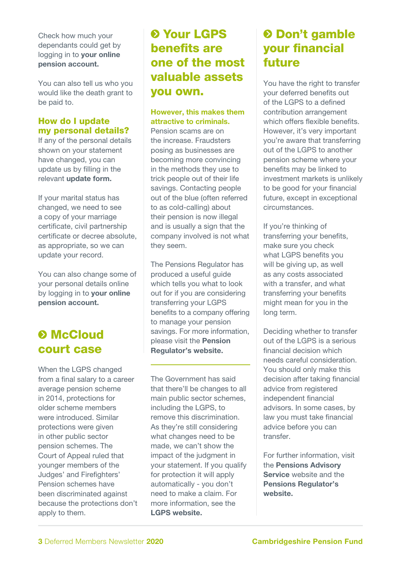Check how much your dependants could get by logging in to **your online** [pension account.](https://lgssmember.pensiondetails.co.uk/home/login/index2.html)

You can also tell us who you would like the death grant to be paid to.

#### How do I update my personal details?

If any of the personal details shown on your statement have changed, you can update us by filling in the relevant [update form.](https://lgssmember.pensiondetails.co.uk/home/members/lgps/active-members/forms-and-resources/index.html)

If your marital status has changed, we need to see a copy of your marriage certificate, civil partnership certificate or decree absolute, as appropriate, so we can update your record.

You can also change some of your personal details online by logging in to [your online](https://lgssmember.pensiondetails.co.uk/home/login/index2.html)  [pension account.](https://lgssmember.pensiondetails.co.uk/home/login/index2.html)

## **8 McCloud** court case

When the LGPS changed from a final salary to a career average pension scheme in 2014, protections for older scheme members were introduced. Similar protections were given in other public sector pension schemes. The Court of Appeal ruled that younger members of the Judges' and Firefighters' Pension schemes have been discriminated against because the protections don't apply to them.

## Your LGPS benefits are one of the most valuable assets you own.

#### However, this makes them attractive to criminals.

Pension scams are on the increase. Fraudsters posing as businesses are becoming more convincing in the methods they use to trick people out of their life savings. Contacting people out of the blue (often referred to as cold-calling) about their pension is now illegal and is usually a sign that the company involved is not what they seem.

The Pensions Regulator has produced a useful guide which tells you what to look out for if you are considering transferring your LGPS benefits to a company offering to manage your pension savings. For more information, please visit the [Pension](https://www.thepensionsregulator.gov.uk/pension-scams)  [Regulator's website.](https://www.thepensionsregulator.gov.uk/pension-scams)

The Government has said that there'll be changes to all main public sector schemes, including the LGPS, to remove this discrimination. As they're still considering what changes need to be made, we can't show the impact of the judgment in your statement. If you qualify for protection it will apply automatically - you don't need to make a claim. For more information, see the [LGPS website.](https://lgpsmember.org/news/story/mccloud_qanda.php)

## **O** Don't gamble your financial future

You have the right to transfer your deferred benefits out of the LGPS to a defined contribution arrangement which offers flexible benefits. However, it's very important you're aware that transferring out of the LGPS to another pension scheme where your benefits may be linked to investment markets is unlikely to be good for your financial future, except in exceptional circumstances.

If you're thinking of transferring your benefits, make sure you check what LGPS benefits you will be giving up, as well as any costs associated with a transfer, and what transferring your benefits might mean for you in the long term.

Deciding whether to transfer out of the LGPS is a serious financial decision which needs careful consideration. You should only make this decision after taking financial advice from registered independent financial advisors. In some cases, by law you must take financial advice before you can transfer.

For further information, visit the [Pensions Advisory](https://www.pensionsadvisoryservice.org.uk)  [Service](https://www.pensionsadvisoryservice.org.uk) website and the [Pensions Regulator's](https://www.thepensionsregulator.gov.uk)  [website.](https://www.thepensionsregulator.gov.uk)